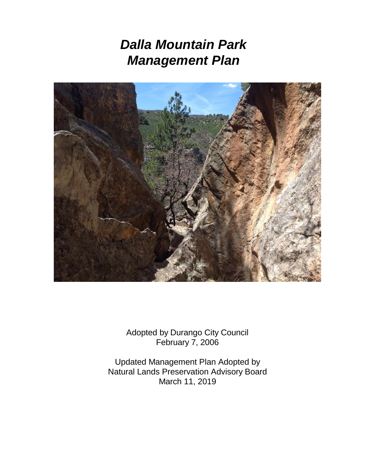# *Dalla Mountain Park Management Plan*



Adopted by Durango City Council February 7, 2006

Updated Management Plan Adopted by Natural Lands Preservation Advisory Board March 11, 2019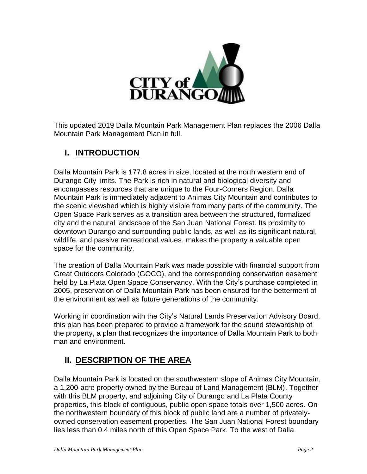

This updated 2019 Dalla Mountain Park Management Plan replaces the 2006 Dalla Mountain Park Management Plan in full.

## **I. INTRODUCTION**

Dalla Mountain Park is 177.8 acres in size, located at the north western end of Durango City limits. The Park is rich in natural and biological diversity and encompasses resources that are unique to the Four-Corners Region. Dalla Mountain Park is immediately adjacent to Animas City Mountain and contributes to the scenic viewshed which is highly visible from many parts of the community. The Open Space Park serves as a transition area between the structured, formalized city and the natural landscape of the San Juan National Forest. Its proximity to downtown Durango and surrounding public lands, as well as its significant natural, wildlife, and passive recreational values, makes the property a valuable open space for the community.

The creation of Dalla Mountain Park was made possible with financial support from Great Outdoors Colorado (GOCO), and the corresponding conservation easement held by La Plata Open Space Conservancy. With the City's purchase completed in 2005, preservation of Dalla Mountain Park has been ensured for the betterment of the environment as well as future generations of the community.

Working in coordination with the City's Natural Lands Preservation Advisory Board, this plan has been prepared to provide a framework for the sound stewardship of the property, a plan that recognizes the importance of Dalla Mountain Park to both man and environment.

## **II. DESCRIPTION OF THE AREA**

Dalla Mountain Park is located on the southwestern slope of Animas City Mountain, a 1,200-acre property owned by the Bureau of Land Management (BLM). Together with this BLM property, and adjoining City of Durango and La Plata County properties, this block of contiguous, public open space totals over 1,500 acres. On the northwestern boundary of this block of public land are a number of privatelyowned conservation easement properties. The San Juan National Forest boundary lies less than 0.4 miles north of this Open Space Park. To the west of Dalla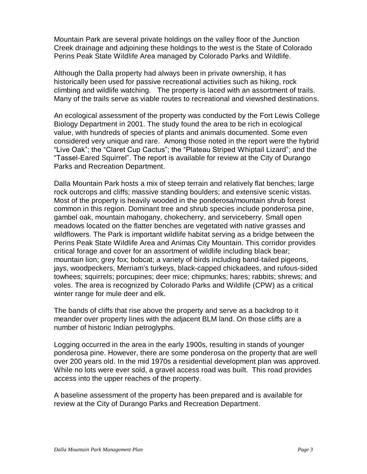Mountain Park are several private holdings on the valley floor of the Junction Creek drainage and adjoining these holdings to the west is the State of Colorado Perins Peak State Wildlife Area managed by Colorado Parks and Wildlife.

Although the Dalla property had always been in private ownership, it has historically been used for passive recreational activities such as hiking, rock climbing and wildlife watching. The property is laced with an assortment of trails. Many of the trails serve as viable routes to recreational and viewshed destinations.

An ecological assessment of the property was conducted by the Fort Lewis College Biology Department in 2001. The study found the area to be rich in ecological value, with hundreds of species of plants and animals documented. Some even considered very unique and rare. Among those noted in the report were the hybrid "Live Oak"; the "Claret Cup Cactus"; the "Plateau Striped Whiptail Lizard"; and the "Tassel-Eared Squirrel". The report is available for review at the City of Durango Parks and Recreation Department.

Dalla Mountain Park hosts a mix of steep terrain and relatively flat benches; large rock outcrops and cliffs; massive standing boulders; and extensive scenic vistas. Most of the property is heavily wooded in the ponderosa/mountain shrub forest common in this region. Dominant tree and shrub species include ponderosa pine, gambel oak, mountain mahogany, chokecherry, and serviceberry. Small open meadows located on the flatter benches are vegetated with native grasses and wildflowers. The Park is important wildlife habitat serving as a bridge between the Perins Peak State Wildlife Area and Animas City Mountain. This corridor provides critical forage and cover for an assortment of wildlife including black bear; mountain lion; grey fox; bobcat; a variety of birds including band-tailed pigeons, jays, woodpeckers, Merriam's turkeys, black-capped chickadees, and rufous-sided towhees; squirrels; porcupines; deer mice; chipmunks; hares; rabbits; shrews; and voles. The area is recognized by Colorado Parks and Wildlife (CPW) as a critical winter range for mule deer and elk.

The bands of cliffs that rise above the property and serve as a backdrop to it meander over property lines with the adjacent BLM land. On those cliffs are a number of historic Indian petroglyphs.

Logging occurred in the area in the early 1900s, resulting in stands of younger ponderosa pine. However, there are some ponderosa on the property that are well over 200 years old. In the mid 1970s a residential development plan was approved. While no lots were ever sold, a gravel access road was built. This road provides access into the upper reaches of the property.

A baseline assessment of the property has been prepared and is available for review at the City of Durango Parks and Recreation Department.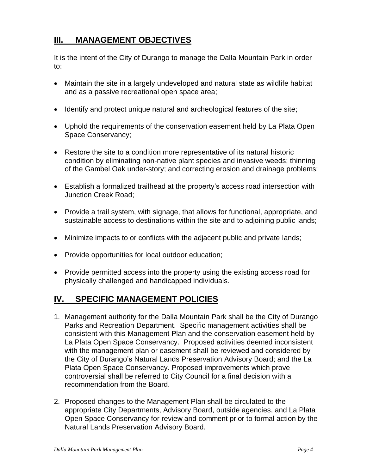## **III. MANAGEMENT OBJECTIVES**

It is the intent of the City of Durango to manage the Dalla Mountain Park in order to:

- Maintain the site in a largely undeveloped and natural state as wildlife habitat and as a passive recreational open space area;
- Identify and protect unique natural and archeological features of the site;
- Uphold the requirements of the conservation easement held by La Plata Open Space Conservancy;
- Restore the site to a condition more representative of its natural historic condition by eliminating non-native plant species and invasive weeds; thinning of the Gambel Oak under-story; and correcting erosion and drainage problems;
- Establish a formalized trailhead at the property's access road intersection with Junction Creek Road;
- Provide a trail system, with signage, that allows for functional, appropriate, and sustainable access to destinations within the site and to adjoining public lands;
- Minimize impacts to or conflicts with the adjacent public and private lands;
- Provide opportunities for local outdoor education;
- Provide permitted access into the property using the existing access road for physically challenged and handicapped individuals.

#### **IV. SPECIFIC MANAGEMENT POLICIES**

- 1. Management authority for the Dalla Mountain Park shall be the City of Durango Parks and Recreation Department. Specific management activities shall be consistent with this Management Plan and the conservation easement held by La Plata Open Space Conservancy. Proposed activities deemed inconsistent with the management plan or easement shall be reviewed and considered by the City of Durango's Natural Lands Preservation Advisory Board; and the La Plata Open Space Conservancy. Proposed improvements which prove controversial shall be referred to City Council for a final decision with a recommendation from the Board.
- 2. Proposed changes to the Management Plan shall be circulated to the appropriate City Departments, Advisory Board, outside agencies, and La Plata Open Space Conservancy for review and comment prior to formal action by the Natural Lands Preservation Advisory Board.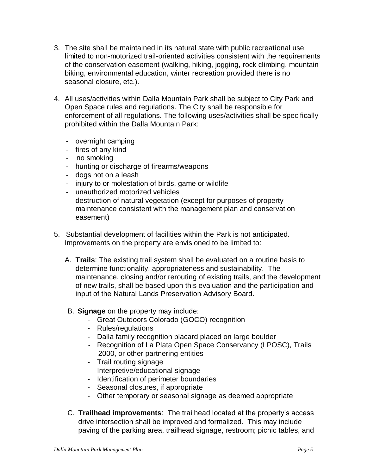- 3. The site shall be maintained in its natural state with public recreational use limited to non-motorized trail-oriented activities consistent with the requirements of the conservation easement (walking, hiking, jogging, rock climbing, mountain biking, environmental education, winter recreation provided there is no seasonal closure, etc.).
- 4. All uses/activities within Dalla Mountain Park shall be subject to City Park and Open Space rules and regulations. The City shall be responsible for enforcement of all regulations. The following uses/activities shall be specifically prohibited within the Dalla Mountain Park:
	- overnight camping
	- fires of any kind
	- no smoking
	- hunting or discharge of firearms/weapons
	- dogs not on a leash
	- injury to or molestation of birds, game or wildlife
	- unauthorized motorized vehicles
	- destruction of natural vegetation (except for purposes of property maintenance consistent with the management plan and conservation easement)
- 5. Substantial development of facilities within the Park is not anticipated. Improvements on the property are envisioned to be limited to:
	- A. **Trails**: The existing trail system shall be evaluated on a routine basis to determine functionality, appropriateness and sustainability. The maintenance, closing and/or rerouting of existing trails, and the development of new trails, shall be based upon this evaluation and the participation and input of the Natural Lands Preservation Advisory Board.
	- B. **Signage** on the property may include:
		- Great Outdoors Colorado (GOCO) recognition
		- Rules/regulations
		- Dalla family recognition placard placed on large boulder
		- Recognition of La Plata Open Space Conservancy (LPOSC), Trails 2000, or other partnering entities
		- Trail routing signage
		- Interpretive/educational signage
		- Identification of perimeter boundaries
		- Seasonal closures, if appropriate
		- Other temporary or seasonal signage as deemed appropriate
	- C. **Trailhead improvements**: The trailhead located at the property's access drive intersection shall be improved and formalized. This may include paving of the parking area, trailhead signage, restroom; picnic tables, and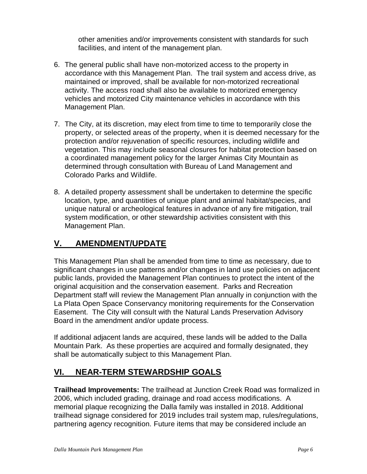other amenities and/or improvements consistent with standards for such facilities, and intent of the management plan.

- 6. The general public shall have non-motorized access to the property in accordance with this Management Plan. The trail system and access drive, as maintained or improved, shall be available for non-motorized recreational activity. The access road shall also be available to motorized emergency vehicles and motorized City maintenance vehicles in accordance with this Management Plan.
- 7. The City, at its discretion, may elect from time to time to temporarily close the property, or selected areas of the property, when it is deemed necessary for the protection and/or rejuvenation of specific resources, including wildlife and vegetation. This may include seasonal closures for habitat protection based on a coordinated management policy for the larger Animas City Mountain as determined through consultation with Bureau of Land Management and Colorado Parks and Wildlife.
- 8. A detailed property assessment shall be undertaken to determine the specific location, type, and quantities of unique plant and animal habitat/species, and unique natural or archeological features in advance of any fire mitigation, trail system modification, or other stewardship activities consistent with this Management Plan.

## **V. AMENDMENT/UPDATE**

This Management Plan shall be amended from time to time as necessary, due to significant changes in use patterns and/or changes in land use policies on adjacent public lands, provided the Management Plan continues to protect the intent of the original acquisition and the conservation easement. Parks and Recreation Department staff will review the Management Plan annually in conjunction with the La Plata Open Space Conservancy monitoring requirements for the Conservation Easement. The City will consult with the Natural Lands Preservation Advisory Board in the amendment and/or update process.

If additional adjacent lands are acquired, these lands will be added to the Dalla Mountain Park. As these properties are acquired and formally designated, they shall be automatically subject to this Management Plan.

## **VI. NEAR-TERM STEWARDSHIP GOALS**

**Trailhead Improvements:** The trailhead at Junction Creek Road was formalized in 2006, which included grading, drainage and road access modifications. A memorial plaque recognizing the Dalla family was installed in 2018. Additional trailhead signage considered for 2019 includes trail system map, rules/regulations, partnering agency recognition. Future items that may be considered include an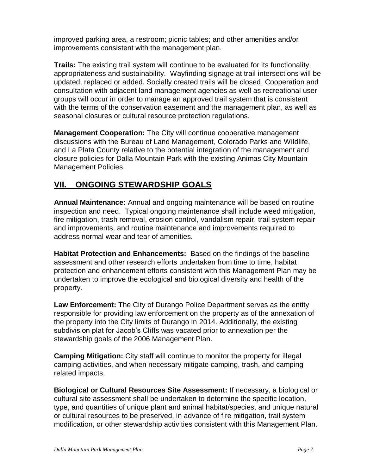improved parking area, a restroom; picnic tables; and other amenities and/or improvements consistent with the management plan.

**Trails:** The existing trail system will continue to be evaluated for its functionality, appropriateness and sustainability. Wayfinding signage at trail intersections will be updated, replaced or added. Socially created trails will be closed. Cooperation and consultation with adjacent land management agencies as well as recreational user groups will occur in order to manage an approved trail system that is consistent with the terms of the conservation easement and the management plan, as well as seasonal closures or cultural resource protection regulations.

**Management Cooperation:** The City will continue cooperative management discussions with the Bureau of Land Management, Colorado Parks and Wildlife, and La Plata County relative to the potential integration of the management and closure policies for Dalla Mountain Park with the existing Animas City Mountain Management Policies.

## **VII. ONGOING STEWARDSHIP GOALS**

**Annual Maintenance:** Annual and ongoing maintenance will be based on routine inspection and need. Typical ongoing maintenance shall include weed mitigation, fire mitigation, trash removal, erosion control, vandalism repair, trail system repair and improvements, and routine maintenance and improvements required to address normal wear and tear of amenities.

**Habitat Protection and Enhancements:** Based on the findings of the baseline assessment and other research efforts undertaken from time to time, habitat protection and enhancement efforts consistent with this Management Plan may be undertaken to improve the ecological and biological diversity and health of the property.

**Law Enforcement:** The City of Durango Police Department serves as the entity responsible for providing law enforcement on the property as of the annexation of the property into the City limits of Durango in 2014. Additionally, the existing subdivision plat for Jacob's Cliffs was vacated prior to annexation per the stewardship goals of the 2006 Management Plan.

**Camping Mitigation:** City staff will continue to monitor the property for illegal camping activities, and when necessary mitigate camping, trash, and campingrelated impacts.

**Biological or Cultural Resources Site Assessment:** If necessary, a biological or cultural site assessment shall be undertaken to determine the specific location, type, and quantities of unique plant and animal habitat/species, and unique natural or cultural resources to be preserved, in advance of fire mitigation, trail system modification, or other stewardship activities consistent with this Management Plan.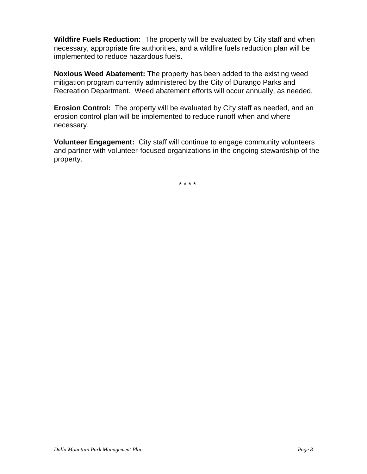**Wildfire Fuels Reduction:** The property will be evaluated by City staff and when necessary, appropriate fire authorities, and a wildfire fuels reduction plan will be implemented to reduce hazardous fuels.

**Noxious Weed Abatement:** The property has been added to the existing weed mitigation program currently administered by the City of Durango Parks and Recreation Department. Weed abatement efforts will occur annually, as needed.

**Erosion Control:** The property will be evaluated by City staff as needed, and an erosion control plan will be implemented to reduce runoff when and where necessary.

**Volunteer Engagement:** City staff will continue to engage community volunteers and partner with volunteer-focused organizations in the ongoing stewardship of the property.

\* \* \* \*